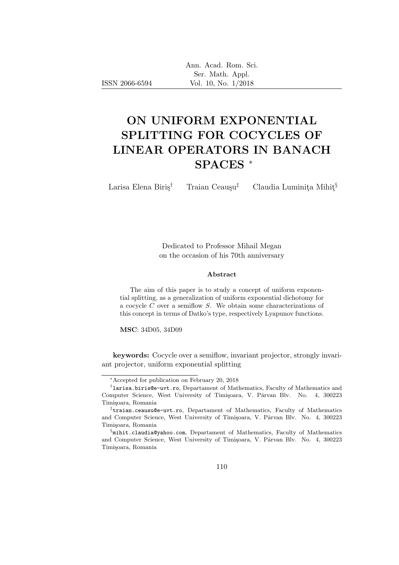|  | Ann. Acad. Rom. Sci. |  |
|--|----------------------|--|
|  | Ser. Math. Appl.     |  |
|  | Vol. 10, No. 1/2018  |  |

# ON UNIFORM EXPONENTIAL SPLITTING FOR COCYCLES OF LINEAR OPERATORS IN BANACH SPACES <sup>∗</sup>

ISSN 2066-6594

Larisa Elena Biriş<sup>†</sup> Traian Ceauşu<sup>‡</sup> Claudia Luminita Mihit<sup>§</sup>

Dedicated to Professor Mihail Megan on the occasion of his 70th anniversary

#### Abstract

The aim of this paper is to study a concept of uniform exponential splitting, as a generalization of uniform exponential dichotomy for a cocycle C over a semiflow S. We obtain some characterizations of this concept in terms of Datko's type, respectively Lyapunov functions.

MSC: 34D05, 34D09

keywords: Cocycle over a semiflow, invariant projector, strongly invariant projector, uniform exponential splitting

<sup>∗</sup>Accepted for publication on February 20, 2018

<sup>†</sup> larisa.biris@e-uvt.ro, Departament of Mathematics, Faculty of Mathematics and Computer Science, West University of Timișoara, V. Pârvan Blv. No. 4, 300223 Timișoara, Romania

<sup>‡</sup> traian.ceausu@e-uvt.ro, Departament of Mathematics, Faculty of Mathematics and Computer Science, West University of Timișoara, V. Pârvan Blv. No. 4, 300223 Timișoara, Romania

<sup>§</sup> mihit.claudia@yahoo.com, Departament of Mathematics, Faculty of Mathematics and Computer Science, West University of Timișoara, V. Pârvan Blv. No. 4, 300223 Timișoara, Romania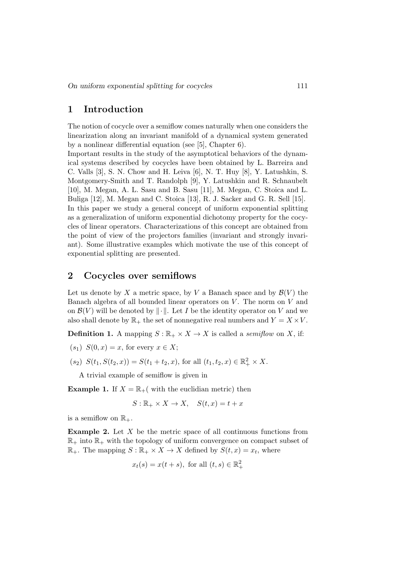### 1 Introduction

The notion of cocycle over a semiflow comes naturally when one considers the linearization along an invariant manifold of a dynamical system generated by a nonlinear differential equation (see [5], Chapter 6).

Important results in the study of the asymptotical behaviors of the dynamical systems described by cocycles have been obtained by L. Barreira and C. Valls [3], S. N. Chow and H. Leiva [6], N. T. Huy [8], Y. Latushkin, S. Montgomery-Smith and T. Randolph [9], Y. Latushkin and R. Schnaubelt [10], M. Megan, A. L. Sasu and B. Sasu [11], M. Megan, C. Stoica and L. Buliga [12], M. Megan and C. Stoica [13], R. J. Sacker and G. R. Sell [15]. In this paper we study a general concept of uniform exponential splitting as a generalization of uniform exponential dichotomy property for the cocycles of linear operators. Characterizations of this concept are obtained from the point of view of the projectors families (invariant and strongly invariant). Some illustrative examples which motivate the use of this concept of exponential splitting are presented.

### 2 Cocycles over semiflows

Let us denote by X a metric space, by V a Banach space and by  $\mathcal{B}(V)$  the Banach algebra of all bounded linear operators on  $V$ . The norm on  $V$  and on  $\mathcal{B}(V)$  will be denoted by  $\|\cdot\|$ . Let I be the identity operator on V and we also shall denote by  $\mathbb{R}_+$  the set of nonnegative real numbers and  $Y = X \times V$ .

**Definition 1.** A mapping  $S : \mathbb{R}_+ \times X \to X$  is called a *semiflow* on X, if:

- $(s_1)$   $S(0, x) = x$ , for every  $x \in X$ ;
- $(s_2)$   $S(t_1, S(t_2, x)) = S(t_1 + t_2, x)$ , for all  $(t_1, t_2, x) \in \mathbb{R}_+^2 \times X$ .

A trivial example of semiflow is given in

**Example 1.** If  $X = \mathbb{R}_+$  with the euclidian metric) then

$$
S: \mathbb{R}_+ \times X \to X, \quad S(t, x) = t + x
$$

is a semiflow on  $\mathbb{R}_+$ .

**Example 2.** Let  $X$  be the metric space of all continuous functions from  $\mathbb{R}_+$  into  $\mathbb{R}_+$  with the topology of uniform convergence on compact subset of  $\mathbb{R}_+$ . The mapping  $S : \mathbb{R}_+ \times X \to X$  defined by  $S(t, x) = x_t$ , where

$$
x_t(s) = x(t+s), \text{ for all } (t,s) \in \mathbb{R}_+^2
$$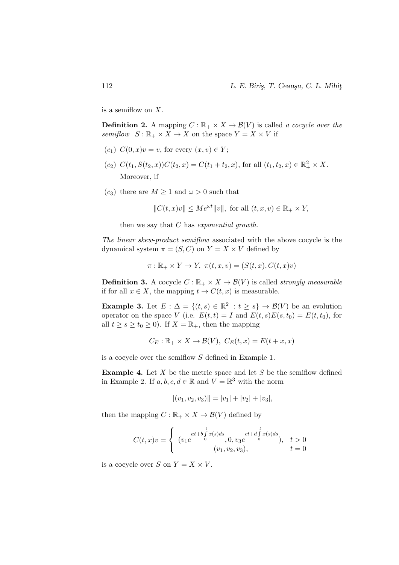is a semiflow on  $X$ .

**Definition 2.** A mapping  $C : \mathbb{R}_+ \times X \to \mathcal{B}(V)$  is called a cocycle over the semiflow  $S: \mathbb{R}_+ \times X \to X$  on the space  $Y = X \times V$  if

- $(c_1)$   $C(0, x)v = v$ , for every  $(x, v) \in Y$ ;
- $(c_2)$   $C(t_1, S(t_2, x))C(t_2, x) = C(t_1 + t_2, x)$ , for all  $(t_1, t_2, x) \in \mathbb{R}_+^2 \times X$ . Moreover, if
- $(c_3)$  there are  $M \geq 1$  and  $\omega > 0$  such that

 $||C(t, x)v|| \le Me^{\omega t}||v||$ , for all  $(t, x, v) \in \mathbb{R}_+ \times Y$ ,

then we say that  $C$  has exponential growth.

The linear skew-product semiflow associated with the above cocycle is the dynamical system  $\pi = (S, C)$  on  $Y = X \times V$  defined by

$$
\pi: \mathbb{R}_+ \times Y \to Y, \ \pi(t, x, v) = (S(t, x), C(t, x)v)
$$

**Definition 3.** A cocycle  $C : \mathbb{R}_+ \times X \to \mathcal{B}(V)$  is called *strongly measurable* if for all  $x \in X$ , the mapping  $t \to C(t, x)$  is measurable.

**Example 3.** Let  $E : \Delta = \{(t, s) \in \mathbb{R}^2_+ : t \geq s\} \to \mathcal{B}(V)$  be an evolution operator on the space V (i.e.  $E(t, t) = I$  and  $E(t, s)E(s, t_0) = E(t, t_0)$ , for all  $t \geq s \geq t_0 \geq 0$ . If  $X = \mathbb{R}_+$ , then the mapping

$$
C_E: \mathbb{R}_+ \times X \to \mathcal{B}(V), C_E(t, x) = E(t + x, x)
$$

is a cocycle over the semiflow S defined in Example 1.

**Example 4.** Let  $X$  be the metric space and let  $S$  be the semiflow defined in Example 2. If  $a, b, c, d \in \mathbb{R}$  and  $V = \mathbb{R}^3$  with the norm

$$
||(v_1, v_2, v_3)|| = |v_1| + |v_2| + |v_3|,
$$

then the mapping  $C : \mathbb{R}_+ \times X \to \mathcal{B}(V)$  defined by

$$
C(t,x)v = \begin{cases} (v_1 e^{\int_0^t x(s)ds}, 0, v_3 e^{\int_0^t x(s)ds}, t > 0 \\ (v_1, v_2, v_3), t = 0 \end{cases}
$$

is a cocycle over S on  $Y = X \times V$ .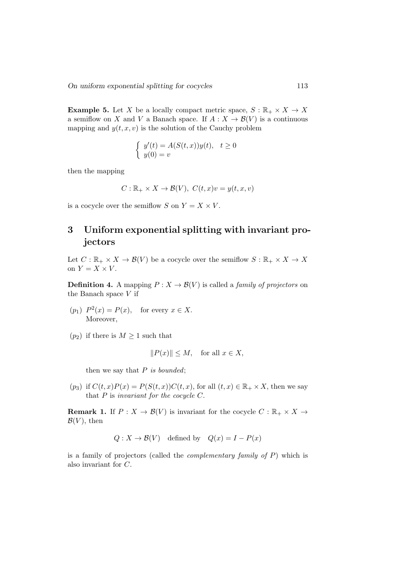**Example 5.** Let X be a locally compact metric space,  $S : \mathbb{R}_+ \times X \to X$ a semiflow on X and V a Banach space. If  $A: X \to \mathcal{B}(V)$  is a continuous mapping and  $y(t, x, v)$  is the solution of the Cauchy problem

$$
\begin{cases}\ny'(t) = A(S(t, x))y(t), & t \ge 0 \\
y(0) = v\n\end{cases}
$$

then the mapping

$$
C: \mathbb{R}_+ \times X \to \mathcal{B}(V), \ C(t, x)v = y(t, x, v)
$$

is a cocycle over the semiflow S on  $Y = X \times V$ .

## 3 Uniform exponential splitting with invariant projectors

Let  $C : \mathbb{R}_+ \times X \to \mathcal{B}(V)$  be a cocycle over the semiflow  $S : \mathbb{R}_+ \times X \to X$ on  $Y = X \times V$ .

**Definition 4.** A mapping  $P: X \to \mathcal{B}(V)$  is called a *family of projectors* on the Banach space  $V$  if

- $(p_1)$   $P^2(x) = P(x)$ , for every  $x \in X$ . Moreover,
- $(p_2)$  if there is  $M \geq 1$  such that

$$
||P(x)|| \le M, \quad \text{for all } x \in X,
$$

then we say that  $P$  is bounded;

 $(p_3)$  if  $C(t, x)P(x) = P(S(t, x))C(t, x)$ , for all  $(t, x) \in \mathbb{R}_+ \times X$ , then we say that  $P$  is invariant for the cocycle  $C$ .

**Remark 1.** If  $P: X \to \mathcal{B}(V)$  is invariant for the cocycle  $C: \mathbb{R}_+ \times X \to$  $\mathcal{B}(V)$ , then

$$
Q: X \to \mathcal{B}(V)
$$
 defined by  $Q(x) = I - P(x)$ 

is a family of projectors (called the *complementary family of P*) which is also invariant for C.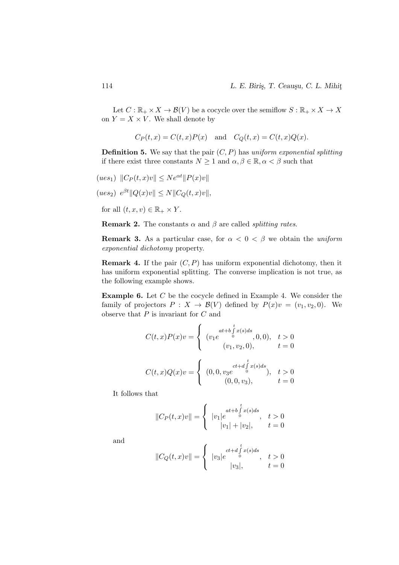Let  $C: \mathbb{R}_+ \times X \to \mathcal{B}(V)$  be a cocycle over the semiflow  $S: \mathbb{R}_+ \times X \to X$ on  $Y = X \times V$ . We shall denote by

$$
C_P(t, x) = C(t, x)P(x) \quad \text{and} \quad C_Q(t, x) = C(t, x)Q(x).
$$

**Definition 5.** We say that the pair  $(C, P)$  has uniform exponential splitting if there exist three constants  $N \geq 1$  and  $\alpha, \beta \in \mathbb{R}, \alpha < \beta$  such that

$$
(ues1) ||CP(t, x)v|| \leq Neαt ||P(x)v||
$$
  
\n
$$
(ues2) eβt ||Q(x)v|| \leq N ||CQ(t,x)v||,
$$
  
\nfor all  $(t, x, v) \in \mathbb{R}_+ \times Y$ .

**Remark 2.** The constants  $\alpha$  and  $\beta$  are called *splitting rates*.

**Remark 3.** As a particular case, for  $\alpha < 0 < \beta$  we obtain the uniform exponential dichotomy property.

**Remark 4.** If the pair  $(C, P)$  has uniform exponential dichotomy, then it has uniform exponential splitting. The converse implication is not true, as the following example shows.

**Example 6.** Let  $C$  be the cocycle defined in Example 4. We consider the family of projectors  $P : X \to \mathcal{B}(V)$  defined by  $P(x)v = (v_1, v_2, 0)$ . We observe that  $P$  is invariant for  $C$  and

$$
C(t, x)P(x)v = \begin{cases} (v_1 e^{\int_0^t \int_0^t x(s)ds}, 0, 0), & t > 0\\ (v_1, v_2, 0), & t = 0 \end{cases}
$$

$$
C(t, x)Q(x)v = \begin{cases} (0, 0, v_3 e^{\int_0^t \int_0^t x(s)ds}, & t > 0\\ (0, 0, v_3), & t = 0 \end{cases}
$$

It follows that

$$
||C_P(t,x)v|| = \begin{cases} |v_1|e^{at+b\int_a^t x(s)ds}, & t > 0\\ |v_1| + |v_2|, & t = 0 \end{cases}
$$

and

$$
||C_Q(t,x)v|| = \begin{cases} |v_3|e^{ct+d\int_{0}^{t}x(s)ds}, & t > 0\\ |v_3|, & t = 0 \end{cases}
$$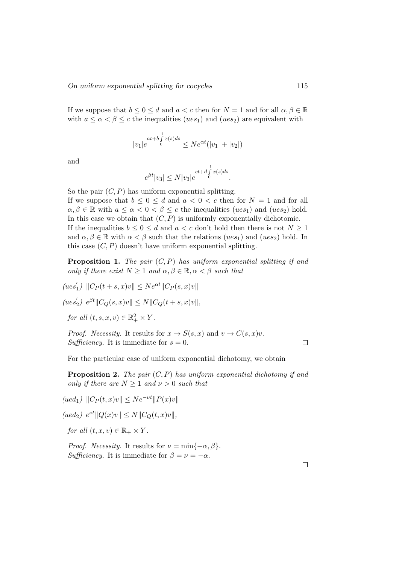If we suppose that  $b \leq 0 \leq d$  and  $a < c$  then for  $N = 1$  and for all  $\alpha, \beta \in \mathbb{R}$ with  $a \leq \alpha < \beta \leq c$  the inequalities (ues<sub>1</sub>) and (ues<sub>2</sub>) are equivalent with

$$
|v_1|e^{at+b\int_{0}^{t}x(s)ds} \le N e^{\alpha t}(|v_1| + |v_2|)
$$

and

$$
e^{\beta t}|v_3| \le N|v_3|e^{ct+d\int\limits_0^t x(s)ds}.
$$

So the pair  $(C, P)$  has uniform exponential splitting. If we suppose that  $b \leq 0 \leq d$  and  $a < 0 < c$  then for  $N = 1$  and for all  $\alpha, \beta \in \mathbb{R}$  with  $a \leq \alpha < 0 < \beta \leq c$  the inequalities  $(ues_1)$  and  $(ues_2)$  hold. In this case we obtain that  $(C, P)$  is uniformly exponentially dichotomic. If the inequalities  $b \leq 0 \leq d$  and  $a < c$  don't hold then there is not  $N \geq 1$ and  $\alpha, \beta \in \mathbb{R}$  with  $\alpha < \beta$  such that the relations (ues<sub>1</sub>) and (ues<sub>2</sub>) hold. In this case  $(C, P)$  doesn't have uniform exponential splitting.

**Proposition 1.** The pair  $(C, P)$  has uniform exponential splitting if and only if there exist  $N \geq 1$  and  $\alpha, \beta \in \mathbb{R}, \alpha < \beta$  such that

 $(ues'$  $\|C_P(t+s,x)v\| \leq Ne^{\alpha t} \|C_P(s,x)v\|$ 

 $(ues'$  $\sum_{2}^{\prime}$ )  $e^{\beta t}$ || $C_Q(s, x)v$ ||  $\leq N$ || $C_Q(t + s, x)v$ ||,

for all  $(t, s, x, v) \in \mathbb{R}_+^2 \times Y$ .

*Proof. Necessity*. It results for  $x \to S(s, x)$  and  $v \to C(s, x)v$ . Sufficiency. It is immediate for  $s = 0$ .

For the particular case of uniform exponential dichotomy, we obtain

**Proposition 2.** The pair  $(C, P)$  has uniform exponential dichotomy if and only if there are  $N \geq 1$  and  $\nu > 0$  such that

 $(ued_1)$   $||C_P(t, x)v|| < Ne^{-\nu t}||P(x)v||$ 

 $(ued_2) e^{\nu t} ||Q(x)v|| \le N ||C_Q(t,x)v||,$ 

for all  $(t, x, v) \in \mathbb{R}_+ \times Y$ .

*Proof.* Necessity. It results for  $\nu = \min\{-\alpha, \beta\}.$ Sufficiency. It is immediate for  $\beta = \nu = -\alpha$ .

 $\Box$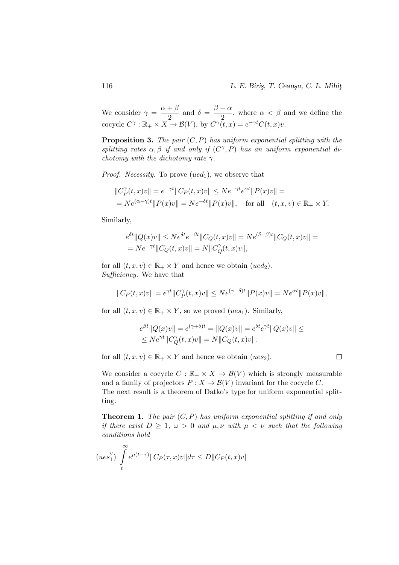We consider  $\gamma = \frac{\alpha + \beta}{\alpha}$  $\frac{+\beta}{2}$  and  $\delta = \frac{\beta - \alpha}{2}$  $\frac{\alpha}{2}$ , where  $\alpha < \beta$  and we define the cocycle  $C^{\gamma}: \mathbb{R}_+ \times X \to \mathcal{B}(V)$ , by  $C^{\gamma}(\tilde{t},x) = e^{-\gamma t} C(t,x)v$ .

**Proposition 3.** The pair  $(C, P)$  has uniform exponential splitting with the splitting rates  $\alpha, \beta$  if and only if  $(C^{\gamma}, P)$  has an uniform exponential dichotomy with the dichotomy rate  $\gamma$ .

*Proof. Necessity*. To prove  $(ued_1)$ , we observe that

$$
||C_P^{\gamma}(t,x)v|| = e^{-\gamma t}||C_P(t,x)v|| \le Ne^{-\gamma t}e^{\alpha t}||P(x)v|| =
$$
  
=  $Ne^{(\alpha-\gamma)t}||P(x)v|| = Ne^{-\delta t}||P(x)v||$ , for all  $(t, x, v) \in \mathbb{R}_+ \times Y$ .

Similarly,

$$
e^{\delta t} ||Q(x)v|| \le N e^{\delta t} e^{-\beta t} ||C_Q(t, x)v|| = N e^{(\delta - \beta)t} ||C_Q(t, x)v|| =
$$
  
=  $N e^{-\gamma t} ||C_Q(t, x)v|| = N ||C_Q^{\gamma}(t, x)v||,$ 

for all  $(t, x, v) \in \mathbb{R}_+ \times Y$  and hence we obtain  $(ued_2)$ . Sufficiency. We have that

$$
||C_P(t,x)v|| = e^{\gamma t}||C_P^{\gamma}(t,x)v|| \leq Ne^{(\gamma-\delta)t}||P(x)v|| = Ne^{\alpha t}||P(x)v||,
$$

for all  $(t, x, v) \in \mathbb{R}_+ \times Y$ , so we proved  $(ues_1)$ . Similarly,

$$
e^{\beta t} ||Q(x)v|| = e^{(\gamma + \delta)t} = ||Q(x)v|| = e^{\delta t} e^{\gamma t} ||Q(x)v|| \le
$$
  
\n
$$
\le Ne^{\gamma t} ||C^{\gamma}_{Q}(t,x)v|| = N ||C_{Q}(t,x)v||.
$$

for all  $(t, x, v) \in \mathbb{R}_+ \times Y$  and hence we obtain  $(ues_2)$ .

We consider a cocycle  $C : \mathbb{R}_+ \times X \to \mathcal{B}(V)$  which is strongly measurable and a family of projectors  $P: X \to \mathcal{B}(V)$  invariant for the cocycle C. The next result is a theorem of Datko's type for uniform exponential splitting.

**Theorem 1.** The pair  $(C, P)$  has uniform exponential splitting if and only if there exist  $D \geq 1$ ,  $\omega > 0$  and  $\mu, \nu$  with  $\mu < \nu$  such that the following conditions hold

$$
(ues_{1}^{''})\int_{t}^{\infty}e^{\mu(t-\tau)}\Vert C_{P}(\tau,x)v\Vert d\tau\leq D\Vert C_{P}(t,x)v\Vert
$$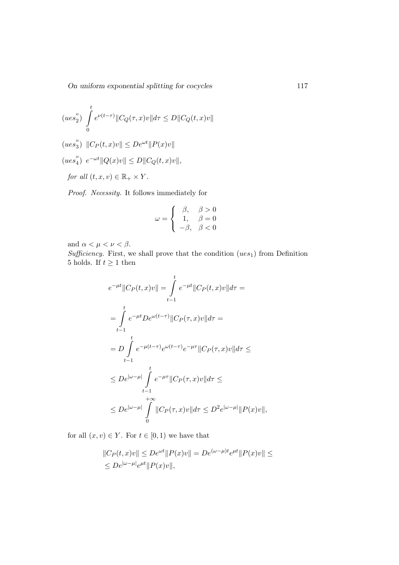On uniform exponential splitting for cocycles 117

$$
(u e s_2'') \int_0^t e^{\nu(t-\tau)} \|C_Q(\tau, x)v\| d\tau \le D \|C_Q(t, x)v\|
$$

- $(ues_3'')$  $_{3}^{"}\rangle$   $||C_{P}(t,x)v|| \leq De^{\omega t}||P(x)v||$
- $(ues_4''$  $_{4}^{''}\rangle e^{-\omega t} \|Q(x)v\| \leq D \|C_Q(t,x)v\|,$

for all  $(t, x, v) \in \mathbb{R}_+ \times Y$ .

Proof. Necessity. It follows immediately for

$$
\omega = \left\{ \begin{array}{cc} \beta, & \beta > 0 \\ 1, & \beta = 0 \\ -\beta, & \beta < 0 \end{array} \right.
$$

and  $\alpha < \mu < \nu < \beta$ .

Sufficiency. First, we shall prove that the condition (ues<sub>1</sub>) from Definition 5 holds. If  $t\geq 1$  then

$$
e^{-\mu t} ||C_P(t, x)v|| = \int_{t-1}^{t} e^{-\mu t} ||C_P(t, x)v|| d\tau =
$$
  
\n
$$
= \int_{t-1}^{t} e^{-\mu t} De^{\omega(t-\tau)} ||C_P(\tau, x)v|| d\tau =
$$
  
\n
$$
= D \int_{t-1}^{t} e^{-\mu(t-\tau)} e^{\omega(t-\tau)} e^{-\mu \tau} ||C_P(\tau, x)v|| d\tau \le
$$
  
\n
$$
\le De^{|\omega-\mu|} \int_{t-1}^{t} e^{-\mu \tau} ||C_P(\tau, x)v|| d\tau \le
$$
  
\n
$$
\le De^{|\omega-\mu|} \int_{0}^{t} ||C_P(\tau, x)v|| d\tau \le D^2 e^{|\omega-\mu|} ||P(x)v||,
$$

for all  $(x, v) \in Y$ . For  $t \in [0, 1)$  we have that

$$
||C_P(t, x)v|| \le D e^{\omega t} ||P(x)v|| = D e^{(\omega - \mu)t} e^{\mu t} ||P(x)v|| \le
$$
  
 
$$
\le D e^{|\omega - \mu|} e^{\mu t} ||P(x)v||,
$$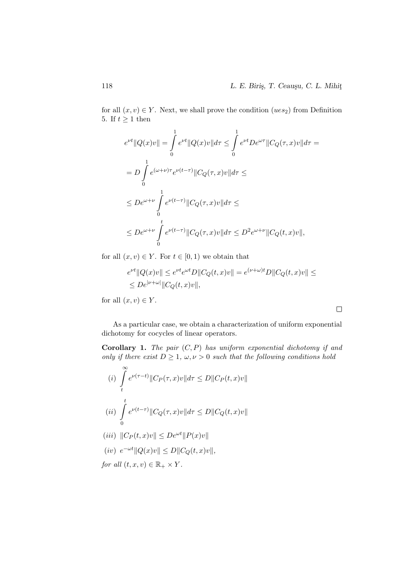$\Box$ 

for all  $(x, v) \in Y$ . Next, we shall prove the condition  $(ues_2)$  from Definition 5. If  $t \geq 1$  then

$$
e^{\nu t} ||Q(x)v|| = \int_{0}^{1} e^{\nu t} ||Q(x)v|| d\tau \leq \int_{0}^{1} e^{\nu t} De^{\omega \tau} ||C_Q(\tau, x)v|| d\tau =
$$
  
\n
$$
= D \int_{0}^{1} e^{(\omega + \nu)\tau} e^{\nu(t-\tau)} ||C_Q(\tau, x)v|| d\tau \leq
$$
  
\n
$$
\leq De^{\omega + \nu} \int_{0}^{1} e^{\nu(t-\tau)} ||C_Q(\tau, x)v|| d\tau \leq
$$
  
\n
$$
\leq De^{\omega + \nu} \int_{0}^{t} e^{\nu(t-\tau)} ||C_Q(\tau, x)v|| d\tau \leq D^2 e^{\omega + \nu} ||C_Q(t, x)v||,
$$

for all  $(x, v) \in Y$ . For  $t \in [0, 1)$  we obtain that

$$
\begin{aligned} &e^{\nu t}\|Q(x)v\| \leq e^{\nu t}e^{\omega t}D\|C_Q(t,x)v\| = e^{(\nu+\omega)t}D\|C_Q(t,x)v\| \leq \\ &\leq De^{|\nu+\omega|}\|C_Q(t,x)v\|, \end{aligned}
$$

for all  $(x, v) \in Y$ .

As a particular case, we obtain a characterization of uniform exponential dichotomy for cocycles of linear operators.

**Corollary 1.** The pair  $(C, P)$  has uniform exponential dichotomy if and only if there exist  $D \geq 1$ ,  $\omega, \nu > 0$  such that the following conditions hold

(i) 
$$
\int_{t}^{\infty} e^{\nu(\tau-t)} \|C_P(\tau, x)v\| d\tau \le D \|C_P(t, x)v\|
$$
  
\n(ii) 
$$
\int_{0}^{t} e^{\nu(t-\tau)} \|C_Q(\tau, x)v\| d\tau \le D \|C_Q(t, x)v\|
$$
  
\n(iii) 
$$
\|C_P(t, x)v\| \le D e^{\nu(t)} \|D(x)v\|
$$

$$
(iii) \quad ||C_P(t, x)v|| \le De^{x} ||P(x)v||
$$
  

$$
(iv) \quad e^{-\omega t} ||Q(x)v|| \le D ||C_Q(t, x)v||,
$$
  
*for all*  $(t, x, v) \in \mathbb{R}_+ \times Y.$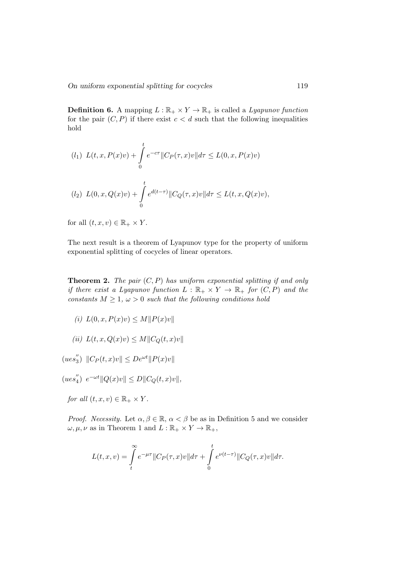**Definition 6.** A mapping  $L : \mathbb{R}_+ \times Y \to \mathbb{R}_+$  is called a *Lyapunov function* for the pair  $(C, P)$  if there exist  $c < d$  such that the following inequalities hold

$$
(l_1) \ L(t, x, P(x)v) + \int_0^t e^{-c\tau} \|C_P(\tau, x)v\| d\tau \le L(0, x, P(x)v)
$$
  

$$
(l_2) \ L(0, x, Q(x)v) + \int_0^t e^{d(t-\tau)} \|C_Q(\tau, x)v\| d\tau \le L(t, x, Q(x)v),
$$

for all  $(t, x, v) \in \mathbb{R}_+ \times Y$ .

The next result is a theorem of Lyapunov type for the property of uniform exponential splitting of cocycles of linear operators.

**Theorem 2.** The pair  $(C, P)$  has uniform exponential splitting if and only if there exist a Lyapunov function  $L : \mathbb{R}_+ \times Y \to \mathbb{R}_+$  for  $(C, P)$  and the constants  $M \geq 1$ ,  $\omega > 0$  such that the following conditions hold

(i)  $L(0, x, P(x)v) \leq M||P(x)v||$ 

$$
(ii) L(t, x, Q(x)v) \le M \|C_Q(t, x)v\|
$$

 $(ues_3'')$  $_{3}^{''}\rangle$   $||C_{P}(t,x)v|| \leq De^{\omega t}||P(x)v||$ 

 $(ues_4^{''})$  $_{4}^{"}\rangle e^{-\omega t} \|Q(x)v\| \leq D \|C_Q(t,x)v\|,$ 

for all  $(t, x, v) \in \mathbb{R}_+ \times Y$ .

*Proof.* Necessity. Let  $\alpha, \beta \in \mathbb{R}$ ,  $\alpha < \beta$  be as in Definition 5 and we consider  $\omega, \mu, \nu$  as in Theorem 1 and  $L : \mathbb{R}_+ \times Y \to \mathbb{R}_+,$ 

$$
L(t,x,v) = \int_{t}^{\infty} e^{-\mu\tau} ||C_P(\tau,x)v||d\tau + \int_{0}^{t} e^{\nu(t-\tau)} ||C_Q(\tau,x)v||d\tau.
$$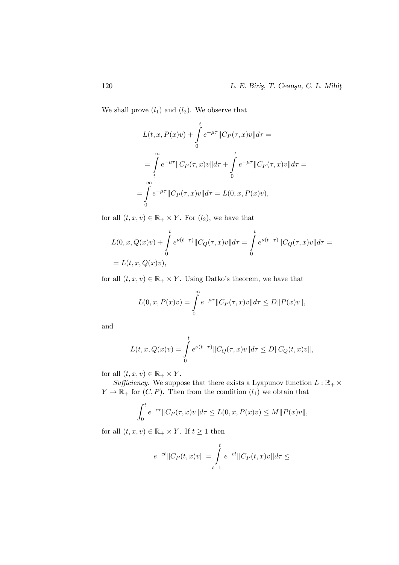We shall prove  $(l_1)$  and  $(l_2)$ . We observe that

$$
L(t, x, P(x)v) + \int_{0}^{t} e^{-\mu\tau} ||C_P(\tau, x)v|| d\tau =
$$
  
= 
$$
\int_{t}^{\infty} e^{-\mu\tau} ||C_P(\tau, x)v|| d\tau + \int_{0}^{t} e^{-\mu\tau} ||C_P(\tau, x)v|| d\tau =
$$
  
= 
$$
\int_{0}^{\infty} e^{-\mu\tau} ||C_P(\tau, x)v|| d\tau = L(0, x, P(x)v),
$$

for all  $(t, x, v) \in \mathbb{R}_+ \times Y$ . For  $(l_2)$ , we have that

$$
L(0, x, Q(x)v) + \int_{0}^{t} e^{\nu(t-\tau)} ||C_Q(\tau, x)v|| d\tau = \int_{0}^{t} e^{\nu(t-\tau)} ||C_Q(\tau, x)v|| d\tau =
$$
  
= L(t, x, Q(x)v),

for all  $(t, x, v) \in \mathbb{R}_+ \times Y$ . Using Datko's theorem, we have that

$$
L(0, x, P(x)v) = \int_{0}^{\infty} e^{-\mu\tau} ||C_P(\tau, x)v|| d\tau \le D||P(x)v||,
$$

and

$$
L(t, x, Q(x)v) = \int_{0}^{t} e^{\nu(t-\tau)} \|C_Q(\tau, x)v\| d\tau \le D \|C_Q(t, x)v\|,
$$

for all  $(t, x, v) \in \mathbb{R}_+ \times Y$ .

Sufficiency. We suppose that there exists a Lyapunov function  $L : \mathbb{R}_+ \times$  $Y \to \mathbb{R}_+$  for  $(C, P)$ . Then from the condition  $(l_1)$  we obtain that

$$
\int_0^t e^{-c\tau} \|C_P(\tau, x)v\| d\tau \le L(0, x, P(x)v) \le M \|P(x)v\|,
$$

for all  $(t, x, v) \in \mathbb{R}_+ \times Y$ . If  $t \geq 1$  then

$$
e^{-ct}||C_P(t,x)v|| = \int_{t-1}^{t} e^{-ct}||C_P(t,x)v||d\tau \le
$$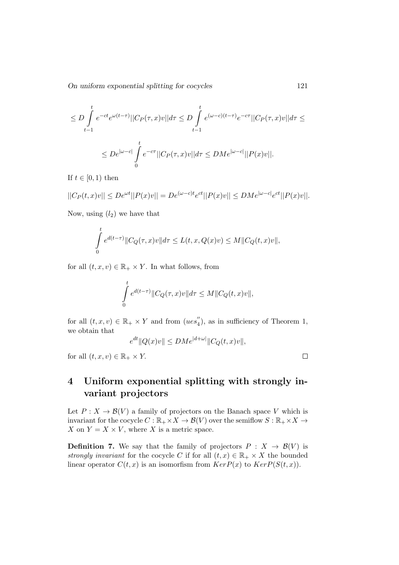On uniform exponential splitting for cocycles 121

$$
\leq D \int_{t-1}^t e^{-ct} e^{\omega(t-\tau)} ||C_P(\tau, x)v|| d\tau \leq D \int_{t-1}^t e^{(\omega-c)(t-\tau)} e^{-c\tau} ||C_P(\tau, x)v|| d\tau \leq
$$
  

$$
\leq D e^{|\omega-c|} \int_0^t e^{-c\tau} ||C_P(\tau, x)v|| d\tau \leq D Me^{|\omega-c|} ||P(x)v||.
$$

If  $t \in [0,1)$  then

$$
||C_P(t,x)v|| \le De^{\omega t}||P(x)v|| = De^{(\omega - c)t}e^{ct}||P(x)v|| \le DMe^{|\omega - c|}e^{ct}||P(x)v||.
$$

Now, using  $(l_2)$  we have that

$$
\int_{0}^{t} e^{d(t-\tau)} \|C_Q(\tau, x)v\| d\tau \le L(t, x, Q(x)v) \le M \|C_Q(t, x)v\|,
$$

for all  $(t, x, v) \in \mathbb{R}_+ \times Y$ . In what follows, from

$$
\int\limits_0^t e^{d(t-\tau)} \|C_Q(\tau,x)v\| d\tau \leq M \|C_Q(t,x)v\|,
$$

for all  $(t, x, v) \in \mathbb{R}_+ \times Y$  and from  $(ues''_4)$  $_{4}^{\prime\prime}$ ), as in sufficiency of Theorem 1, we obtain that

$$
e^{dt}||Q(x)v|| \leq DM e^{|d+\omega|}||C_Q(t,x)v||,
$$

for all  $(t, x, v) \in \mathbb{R}_+ \times Y$ .

# 4 Uniform exponential splitting with strongly invariant projectors

Let  $P: X \to \mathcal{B}(V)$  a family of projectors on the Banach space V which is invariant for the cocycle  $C : \mathbb{R}_+ \times X \to \mathcal{B}(V)$  over the semiflow  $S : \mathbb{R}_+ \times X \to$ X on  $Y = X \times V$ , where X is a metric space.

**Definition 7.** We say that the family of projectors  $P : X \rightarrow \mathcal{B}(V)$  is strongly invariant for the cocycle C if for all  $(t, x) \in \mathbb{R}_+ \times X$  the bounded linear operator  $C(t, x)$  is an isomorfism from  $Ker P(x)$  to  $Ker P(S(t, x))$ .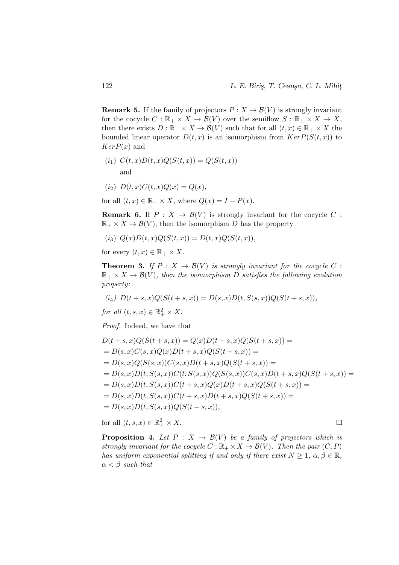**Remark 5.** If the family of projectors  $P : X \to \mathcal{B}(V)$  is strongly invariant for the cocycle  $C : \mathbb{R}_+ \times X \to \mathcal{B}(V)$  over the semiflow  $S : \mathbb{R}_+ \times X \to X$ , then there exists  $D : \mathbb{R}_+ \times X \to \mathcal{B}(V)$  such that for all  $(t, x) \in \mathbb{R}_+ \times X$  the bounded linear operator  $D(t, x)$  is an isomorphism from  $KerP(S(t, x))$  to  $KerP(x)$  and

$$
(i_1) C(t,x)D(t,x)Q(S(t,x)) = Q(S(t,x))
$$
  
and

$$
(i_2) \ \ D(t, x)C(t, x)Q(x) = Q(x),
$$

for all  $(t, x) \in \mathbb{R}_+ \times X$ , where  $Q(x) = I - P(x)$ .

**Remark 6.** If  $P: X \to \mathcal{B}(V)$  is strongly invariant for the cocycle C:  $\mathbb{R}_+ \times X \to \mathcal{B}(V)$ , then the isomorphism D has the property

$$
(i_3) Q(x)D(t, x)Q(S(t, x)) = D(t, x)Q(S(t, x)),
$$

for every  $(t, x) \in \mathbb{R}_+ \times X$ .

**Theorem 3.** If  $P: X \to \mathcal{B}(V)$  is strongly invariant for the cocycle C:  $\mathbb{R}_+ \times X \to \mathcal{B}(V)$ , then the isomorphism D satisfies the following evolution property:

$$
(i_4) D(t+s,x)Q(S(t+s,x)) = D(s,x)D(t,S(s,x))Q(S(t+s,x)),
$$

for all  $(t, s, x) \in \mathbb{R}_+^2 \times X$ .

Proof. Indeed, we have that

$$
D(t+s,x)Q(S(t+s,x)) = Q(x)D(t+s,x)Q(S(t+s,x)) =
$$
  
=  $D(s,x)C(s,x)Q(x)D(t+s,x)Q(S(t+s,x)) =$   
=  $D(s,x)Q(S(s,x))C(s,x)D(t+s,x)Q(S(t+s,x)) =$   
=  $D(s,x)D(t,S(s,x))C(t,S(s,x))Q(S(s,x))C(s,x)D(t+s,x)Q(S(t+s,x)) =$   
=  $D(s,x)D(t,S(s,x))C(t+s,x)Q(x)D(t+s,x)Q(S(t+s,x)) =$   
=  $D(s,x)D(t,S(s,x))C(t+s,x)D(t+s,x)Q(S(t+s,x)) =$   
=  $D(s,x)D(t,S(s,x))Q(S(t+s,x)),$ 

for all  $(t, s, x) \in \mathbb{R}_+^2 \times X$ .

**Proposition 4.** Let  $P: X \rightarrow \mathcal{B}(V)$  be a family of projectors which is strongly invariant for the cocycle  $C : \mathbb{R}_+ \times X \to \mathcal{B}(V)$ . Then the pair  $(C, P)$ has uniform exponential splitting if and only if there exist  $N \geq 1, \alpha, \beta \in \mathbb{R}$ ,  $\alpha < \beta$  such that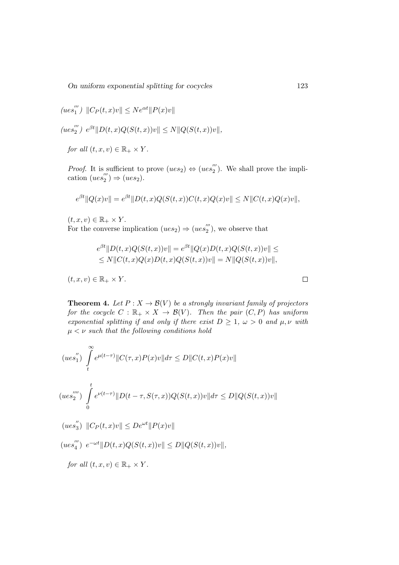On uniform exponential splitting for cocycles 123

$$
(ues''_1) ||C_P(t,x)v|| \le N e^{\alpha t} ||P(x)v||
$$
  

$$
(ues''_2) e^{\beta t} ||D(t,x)Q(S(t,x))v|| \le N ||Q(S(t,x))v||,
$$

for all  $(t, x, v) \in \mathbb{R}_+ \times Y$ .

*Proof.* It is sufficient to prove  $(ues_2) \Leftrightarrow (ues_2'')$  $\binom{m}{2}$ . We shall prove the implication (ues<sup>""</sup>  $\binom{m}{2} \Rightarrow (ues_2).$ 

$$
e^{\beta t} \|Q(x)v\| = e^{\beta t} \|D(t,x)Q(S(t,x))C(t,x)Q(x)v\| \le N \|C(t,x)Q(x)v\|,
$$

 $(t, x, v) \in \mathbb{R}_+ \times Y$ .

For the converse implication  $(ues_2) \Rightarrow (ues_2$ <sup>"</sup>  $\binom{m}{2}$ , we observe that

$$
e^{\beta t} \|D(t, x)Q(S(t, x))v\| = e^{\beta t} \|Q(x)D(t, x)Q(S(t, x))v\| \le
$$
  
 
$$
\le N \|C(t, x)Q(x)D(t, x)Q(S(t, x))v\| = N \|Q(S(t, x))v\|,
$$

$$
(t, x, v) \in \mathbb{R}_+ \times Y.
$$

**Theorem 4.** Let  $P: X \to \mathcal{B}(V)$  be a strongly invariant family of projectors for the cocycle  $C : \mathbb{R}_+ \times X \to \mathcal{B}(V)$ . Then the pair  $(C, P)$  has uniform exponential splitting if and only if there exist  $D \geq 1$ ,  $\omega > 0$  and  $\mu, \nu$  with  $\mu < \nu$  such that the following conditions hold

$$
(ues_{1}^{''}) \int_{t}^{\infty} e^{\mu(t-\tau)} \|C(\tau,x)P(x)v\| d\tau \le D \|C(t,x)P(x)v\|
$$
  

$$
(ues_{2}^{''''}) \int_{0}^{t} e^{\nu(t-\tau)} \|D(t-\tau,S(\tau,x))Q(S(t,x))v\| d\tau \le D \|Q(S(t,x))v\|
$$

 $(ues_3'')$  $_{3}^{''}\rangle$   $||C_{P}(t,x)v|| \leq De^{\omega t}||P(x)v||$ 

 $(ues''_4$  $_{4}^{'''}$ )  $e^{-\omega t}$  $||D(t, x)Q(S(t, x))v|| \leq D||Q(S(t, x))v||,$ 

for all  $(t, x, v) \in \mathbb{R}_+ \times Y$ .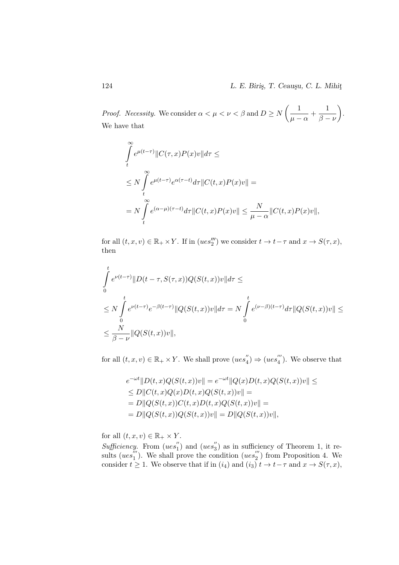*Proof.* Necessity. We consider  $\alpha < \mu < \nu < \beta$  and  $D \ge N$   $\begin{pmatrix} 1 & 1 \\ -1 & 1 \end{pmatrix}$  $\frac{1}{\mu - \alpha} + \frac{1}{\beta - \alpha}$  $\beta - \nu$  . We have that

$$
\int_{t}^{\infty} e^{\mu(t-\tau)} \|C(\tau,x)P(x)v\| d\tau \le
$$
\n
$$
\leq N \int_{t}^{\infty} e^{\mu(t-\tau)} e^{\alpha(\tau-t)} d\tau \|C(t,x)P(x)v\| =
$$
\n
$$
= N \int_{t}^{\infty} e^{(\alpha-\mu)(\tau-t)} d\tau \|C(t,x)P(x)v\| \leq \frac{N}{\mu-\alpha} \|C(t,x)P(x)v\|,
$$

for all  $(t, x, v) \in \mathbb{R}_+ \times Y$ . If in  $(ues''_2)$  we consider  $t \to t-\tau$  and  $x \to S(\tau, x)$ , then

$$
\int_{0}^{t} e^{\nu(t-\tau)} \|D(t-\tau,S(\tau,x))Q(S(t,x))v\|d\tau \le
$$
\n
$$
\leq N \int_{0}^{t} e^{\nu(t-\tau)} e^{-\beta(t-\tau)} \|Q(S(t,x))v\|d\tau = N \int_{0}^{t} e^{(\nu-\beta)(t-\tau)} d\tau \|Q(S(t,x))v\| \le
$$
\n
$$
\leq \frac{N}{\beta-\nu} \|Q(S(t,x))v\|,
$$

for all  $(t, x, v) \in \mathbb{R}_+ \times Y$ . We shall prove  $(ues''_4)$  $\binom{n}{4} \Rightarrow (ues''_4)$  $\binom{m}{4}$ . We observe that

$$
e^{-\omega t}||D(t, x)Q(S(t, x))v|| = e^{-\omega t}||Q(x)D(t, x)Q(S(t, x))v|| \le
$$
  
\n
$$
\le D||C(t, x)Q(x)D(t, x)Q(S(t, x))v|| =
$$
  
\n
$$
= D||Q(S(t, x))C(t, x)D(t, x)Q(S(t, x))v|| =
$$
  
\n
$$
= D||Q(S(t, x))Q(S(t, x))v|| = D||Q(S(t, x))v||,
$$

for all  $(t, x, v) \in \mathbb{R}_+ \times Y$ .

Sufficiency. From  $(ues''_1)$  $\binom{n}{1}$  and  $(ues''_3)$  $\binom{1}{3}$  as in sufficiency of Theorem 1, it results ( $ues_1^{\prime\prime\prime}$  $\binom{m}{1}$ . We shall prove the condition  $(ues_2^{m})$  $2^{2}$ ) from Proposition 4. We consider  $t \geq 1$ . We observe that if in  $(i_4)$  and  $(i_3)$   $t \to t - \tau$  and  $x \to S(\tau, x)$ ,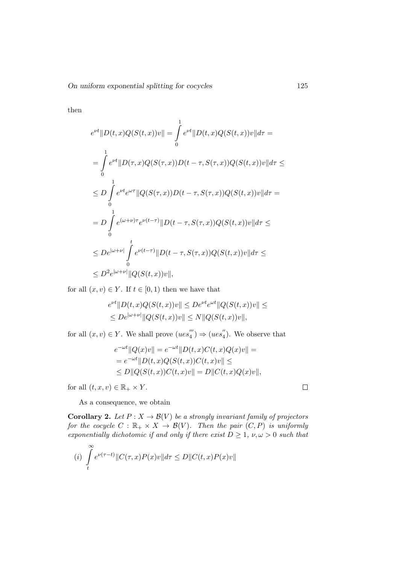then

$$
e^{\nu t} ||D(t, x)Q(S(t, x))v|| = \int_{0}^{1} e^{\nu t} ||D(t, x)Q(S(t, x))v|| d\tau =
$$
  
\n
$$
= \int_{0}^{1} e^{\nu t} ||D(\tau, x)Q(S(\tau, x))D(t - \tau, S(\tau, x))Q(S(t, x))v|| d\tau \le
$$
  
\n
$$
\leq D \int_{0}^{1} e^{\nu t} e^{\omega \tau} ||Q(S(\tau, x))D(t - \tau, S(\tau, x))Q(S(t, x))v|| d\tau =
$$
  
\n
$$
= D \int_{0}^{1} e^{(\omega + \nu)\tau} e^{\nu(t - \tau)} ||D(t - \tau, S(\tau, x))Q(S(t, x))v|| d\tau \le
$$
  
\n
$$
\leq De^{|\omega + \nu|} \int_{0}^{t} e^{\nu(t - \tau)} ||D(t - \tau, S(\tau, x))Q(S(t, x))v|| d\tau \le
$$
  
\n
$$
\leq D^{2} e^{|\omega + \nu|} ||Q(S(t, x))v||,
$$

for all  $(x, v) \in Y$ . If  $t \in [0, 1)$  then we have that

$$
e^{\nu t} \|D(t, x)Q(S(t, x))v\| \le De^{\nu t} e^{\omega t} \|Q(S(t, x))v\| \le
$$
  
 
$$
\le De^{|\omega + \nu|} \|Q(S(t, x))v\| \le N \|Q(S(t, x))v\|,
$$

for all  $(x, v) \in Y$ . We shall prove  $(ues''_4)$  $\binom{m}{4} \Rightarrow (ues''_4)$  $_{4}^{\prime\prime}$ ). We observe that

$$
e^{-\omega t} ||Q(x)v|| = e^{-\omega t} ||D(t, x)C(t, x)Q(x)v|| =
$$
  
= 
$$
e^{-\omega t} ||D(t, x)Q(S(t, x))C(t, x)v|| \le
$$
  

$$
\le D||Q(S(t, x))C(t, x)v|| = D||C(t, x)Q(x)v||,
$$

for all  $(t, x, v) \in \mathbb{R}_+ \times Y$ .

As a consequence, we obtain

**Corollary 2.** Let  $P: X \to \mathcal{B}(V)$  be a strongly invariant family of projectors for the cocycle  $C : \mathbb{R}_+ \times X \to \mathcal{B}(V)$ . Then the pair  $(C, P)$  is uniformly exponentially dichotomic if and only if there exist  $D \geq 1$ ,  $\nu, \omega > 0$  such that

$$
(i) \int_{t}^{\infty} e^{\nu(\tau - t)} \|C(\tau, x)P(x)v\| d\tau \le D \|C(t, x)P(x)v\|
$$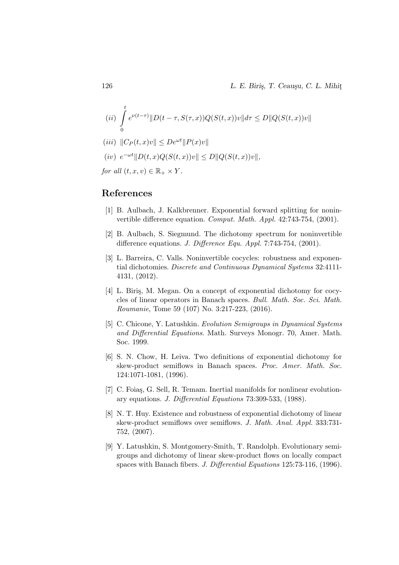(ii) 
$$
\int_{0}^{t} e^{\nu(t-\tau)} \|D(t-\tau, S(\tau, x))Q(S(t, x))v\| d\tau \le D \|Q(S(t, x))v\|
$$

$$
(iii) \|C_P(t, x)v\| \le De^{\omega t} \|P(x)v\|
$$

$$
(iv) e^{-\omega t} ||D(t, x)Q(S(t, x))v|| \leq D ||Q(S(t, x))v||,
$$

for all  $(t, x, v) \in \mathbb{R}_+ \times Y$ .

#### References

- [1] B. Aulbach, J. Kalkbrenner. Exponential forward splitting for noninvertible difference equation. Comput. Math. Appl. 42:743-754, (2001).
- [2] B. Aulbach, S. Siegmund. The dichotomy spectrum for noninvertible difference equations. *J. Difference Equ. Appl.* 7:743-754, (2001).
- [3] L. Barreira, C. Valls. Noninvertible cocycles: robustness and exponential dichotomies. Discrete and Continuous Dynamical Systems 32:4111- 4131, (2012).
- [4] L. Biriş, M. Megan. On a concept of exponential dichotomy for cocycles of linear operators in Banach spaces. Bull. Math. Soc. Sci. Math. Roumanie, Tome 59 (107) No. 3:217-223, (2016).
- [5] C. Chicone, Y. Latushkin. Evolution Semigroups in Dynamical Systems and Differential Equations. Math. Surveys Monogr. 70, Amer. Math. Soc. 1999.
- [6] S. N. Chow, H. Leiva. Two definitions of exponential dichotomy for skew-product semiflows in Banach spaces. Proc. Amer. Math. Soc. 124:1071-1081, (1996).
- [7] C. Foias, G. Sell, R. Temam. Inertial manifolds for nonlinear evolutionary equations. J. Differential Equations 73:309-533, (1988).
- [8] N. T. Huy. Existence and robustness of exponential dichotomy of linear skew-product semiflows over semiflows. J. Math. Anal. Appl. 333:731- 752, (2007).
- [9] Y. Latushkin, S. Montgomery-Smith, T. Randolph. Evolutionary semigroups and dichotomy of linear skew-product flows on locally compact spaces with Banach fibers. J. Differential Equations 125:73-116, (1996).